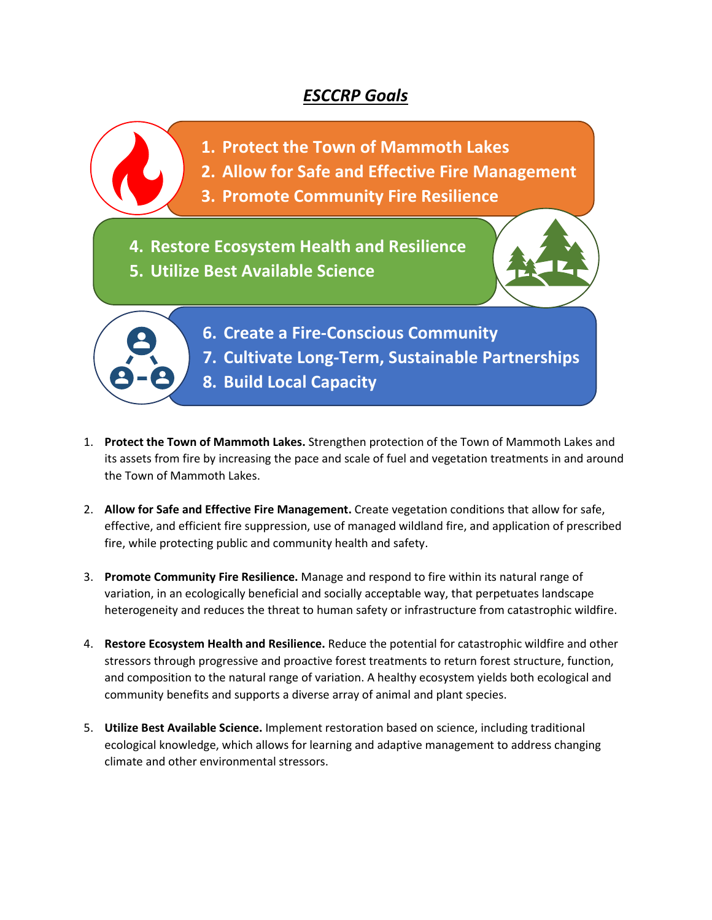## *ESCCRP Goals*

**1. Protect the Town of Mammoth Lakes** 

- **2. Allow for Safe and Effective Fire Management**
- **3. Promote Community Fire Resilience**

**4. Restore Ecosystem Health and Resilience 5. Utilize Best Available Science**

> **6. Create a Fire-Conscious Community 7. Cultivate Long-Term, Sustainable Partnerships 8. Build Local Capacity**

- 1. **Protect the Town of Mammoth Lakes.** Strengthen protection of the Town of Mammoth Lakes and its assets from fire by increasing the pace and scale of fuel and vegetation treatments in and around the Town of Mammoth Lakes.
- 2. **Allow for Safe and Effective Fire Management.** Create vegetation conditions that allow for safe, effective, and efficient fire suppression, use of managed wildland fire, and application of prescribed fire, while protecting public and community health and safety.
- 3. **Promote Community Fire Resilience.** Manage and respond to fire within its natural range of variation, in an ecologically beneficial and socially acceptable way, that perpetuates landscape heterogeneity and reduces the threat to human safety or infrastructure from catastrophic wildfire.
- 4. **Restore Ecosystem Health and Resilience.** Reduce the potential for catastrophic wildfire and other stressors through progressive and proactive forest treatments to return forest structure, function, and composition to the natural range of variation. A healthy ecosystem yields both ecological and community benefits and supports a diverse array of animal and plant species.
- 5. **Utilize Best Available Science.** Implement restoration based on science, including traditional ecological knowledge, which allows for learning and adaptive management to address changing climate and other environmental stressors.